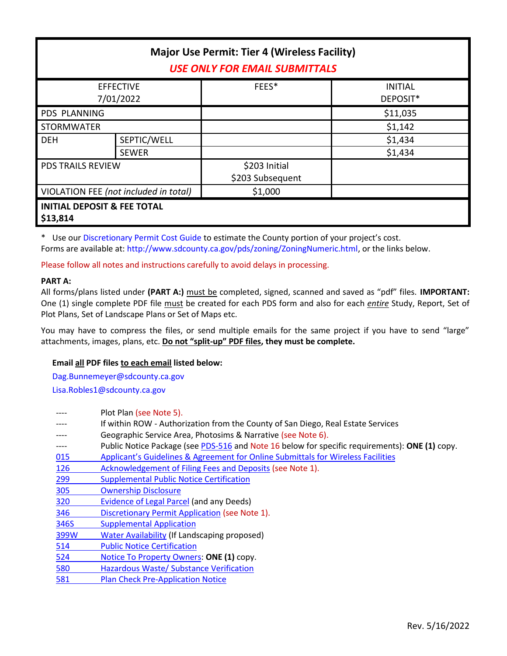| <b>Major Use Permit: Tier 4 (Wireless Facility)</b><br><b>USE ONLY FOR EMAIL SUBMITTALS</b> |                             |                                   |                            |  |
|---------------------------------------------------------------------------------------------|-----------------------------|-----------------------------------|----------------------------|--|
| <b>EFFECTIVE</b><br>7/01/2022                                                               |                             | FEES*                             | <b>INITIAL</b><br>DEPOSIT* |  |
| <b>PDS PLANNING</b>                                                                         |                             |                                   | \$11,035                   |  |
| <b>STORMWATER</b>                                                                           |                             |                                   | \$1,142                    |  |
| <b>DEH</b>                                                                                  | SEPTIC/WELL<br><b>SEWER</b> |                                   | \$1,434<br>\$1,434         |  |
| <b>PDS TRAILS REVIEW</b>                                                                    |                             | \$203 Initial<br>\$203 Subsequent |                            |  |
| VIOLATION FEE (not included in total)                                                       |                             | \$1,000                           |                            |  |
| <b>INITIAL DEPOSIT &amp; FEE TOTAL</b><br>\$13,814                                          |                             |                                   |                            |  |

\* Use our [Discretionary Permit Cost Guide](http://www.sandiegocounty.gov/content/dam/sdc/pds/docs/Discretionary_Permit_Cost_Guide.xlsx) to estimate the County portion of your project's cost. Forms are available at: [http://www.sdcounty.ca.gov/pds/zoning/ZoningNumeric.html,](http://www.sdcounty.ca.gov/pds/zoning/ZoningNumeric.html) or the links below.

Please follow all notes and instructions carefully to avoid delays in processing.

## **PART A:**

All forms/plans listed under **(PART A:)** must be completed, signed, scanned and saved as "pdf" files. **IMPORTANT:** One (1) single complete PDF file must be created for each PDS form and also for each *entire* Study, Report, Set of Plot Plans, Set of Landscape Plans or Set of Maps etc.

You may have to compress the files, or send multiple emails for the same project if you have to send "large" attachments, images, plans, etc. **Do not "split-up" PDF files, they must be complete.**

## **Email all PDF files to each email listed below:**

[Dag.Bunnemeyer@sdcounty.ca.gov](mailto:Dag.Bunnemeyer@sdcounty.ca.gov) [Lisa.Robles1@sdcounty.ca.gov](mailto:Lisa.Robles1@sdcounty.ca.gov)

|            | Plot Plan (see Note 5).                                                                        |
|------------|------------------------------------------------------------------------------------------------|
|            | If within ROW - Authorization from the County of San Diego, Real Estate Services               |
|            | Geographic Service Area, Photosims & Narrative (see Note 6).                                   |
| ----       | Public Notice Package (see PDS-516 and Note 16 below for specific requirements): ONE (1) copy. |
| 015        | Applicant's Guidelines & Agreement for Online Submittals for Wireless Facilities               |
| <u>126</u> | Acknowledgement of Filing Fees and Deposits (see Note 1).                                      |
| 299        | <b>Supplemental Public Notice Certification</b>                                                |
| <b>305</b> | <b>Ownership Disclosure</b>                                                                    |
| 320        | Evidence of Legal Parcel (and any Deeds)                                                       |
| 346        | Discretionary Permit Application (see Note 1).                                                 |
| 346S       | <b>Supplemental Application</b>                                                                |
| 399W       | <b>Water Availability (If Landscaping proposed)</b>                                            |
| 514        | <b>Public Notice Certification</b>                                                             |
| 524        | Notice To Property Owners: ONE (1) copy.                                                       |
| 580        | Hazardous Waste/ Substance Verification                                                        |
| 581        | <b>Plan Check Pre-Application Notice</b>                                                       |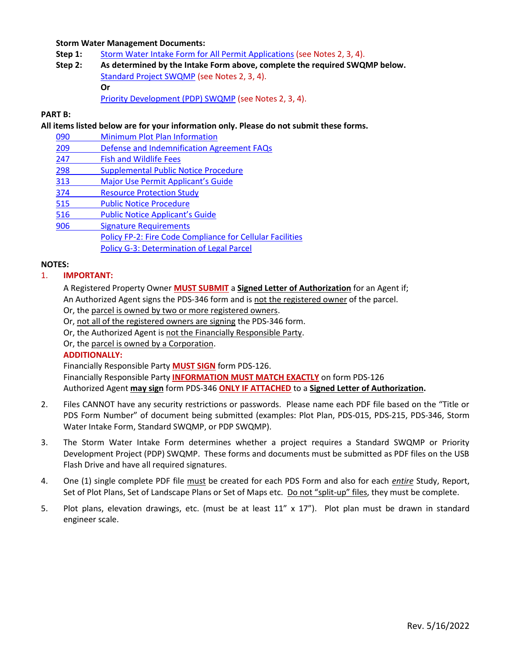### **Storm Water Management Documents:**

- **Step 1:** Storm Water [Intake Form for All Permit Applications](http://www.sandiegocounty.gov/content/dam/sdc/pds/zoning/formfields/SWQMP-Intake-Form.pdf) (see Notes 2, 3, 4).
- **Step 2: As determined by the Intake Form above, complete the required SWQMP below.** [Standard Project SWQMP](http://www.sandiegocounty.gov/content/dam/sdc/pds/zoning/formfields/SWQMP-Standard.pdf) (see Notes 2, 3, 4). **Or** [Priority Development \(PDP\) SWQMP](https://www.sandiegocounty.gov/content/sdc/dpw/watersheds/DevelopmentandConstruction/BMP_Design_Manual.html) (see Notes 2, 3, 4).

#### **PART B:**

**All items listed below are for your information only. Please do not submit these forms.**

- 090 [Minimum Plot Plan Information](http://www.sdcounty.ca.gov/pds/docs/pds090.pdf)
- 209 [Defense and Indemnification Agreement FAQs](http://www.sdcounty.ca.gov/pds/zoning/formfields/PDS-PLN-209.pdf)
- [247 Fish and Wildlife Fees](http://www.sdcounty.ca.gov/pds/zoning/formfields/PDS-PLN-247.pdf)
- [298 Supplemental Public Notice Procedure](http://www.sdcounty.ca.gov/pds/zoning/formfields/PDS-PLN-298.pdf)
- 313 Major Use Perm[it Applicant's Guide](http://www.sdcounty.ca.gov/pds/zoning/formfields/PDS-PLN-313.pdf)
- [374 Resource Protection Study](http://www.sdcounty.ca.gov/pds/zoning/formfields/PDS-PLN-374.pdf)
- [515 Public Notice Procedure](http://www.sdcounty.ca.gov/pds/zoning/formfields/PDS-PLN-515.pdf)
- [516 Public Not](http://www.sdcounty.ca.gov/pds/zoning/formfields/PDS-PLN-516.pdf)ice Applicant's Guide
- 906 Signature Requirements
	- [Policy FP-2: Fire Code Compliance for Cellular Facilities](http://www.sdcounty.ca.gov/pds/zoning/formfields/POLICY-FP-2-2015.pdf)
		- [Policy G-3: Determination of Legal Parcel](http://www.sdcounty.ca.gov/pds/zoning/formfields/POLICY-G-3.pdf)

### **NOTES:**

### 1. **IMPORTANT:**

A Registered Property Owner **MUST SUBMIT** a **Signed Letter of Authorization** for an Agent if; An Authorized Agent signs the PDS-346 form and is not the registered owner of the parcel.

- Or, the parcel is owned by two or more registered owners.
- Or, not all of the registered owners are signing the PDS-346 form.
- Or, the Authorized Agent is not the Financially Responsible Party.
- Or, the parcel is owned by a Corporation.

## **ADDITIONALLY:**

Financially Responsible Party **MUST SIGN** form PDS-126. Financially Responsible Party **INFORMATION MUST MATCH EXACTLY** on form PDS-126 Authorized Agent **may sign** form PDS-346 **ONLY IF ATTACHED** to a **Signed Letter of Authorization.**

- 2. Files CANNOT have any security restrictions or passwords. Please name each PDF file based on the "Title or PDS Form Number" of document being submitted (examples: Plot Plan, PDS-015, PDS-215, PDS-346, Storm Water Intake Form, Standard SWQMP, or PDP SWQMP).
- 3. The Storm Water Intake Form determines whether a project requires a Standard SWQMP or Priority Development Project (PDP) SWQMP. These forms and documents must be submitted as PDF files on the USB Flash Drive and have all required signatures.
- 4. One (1) single complete PDF file must be created for each PDS Form and also for each *entire* Study, Report, Set of Plot Plans, Set of Landscape Plans or Set of Maps etc. Do not "split-up" files, they must be complete.
- 5. Plot plans, elevation drawings, etc. (must be at least 11" x 17"). Plot plan must be drawn in standard engineer scale.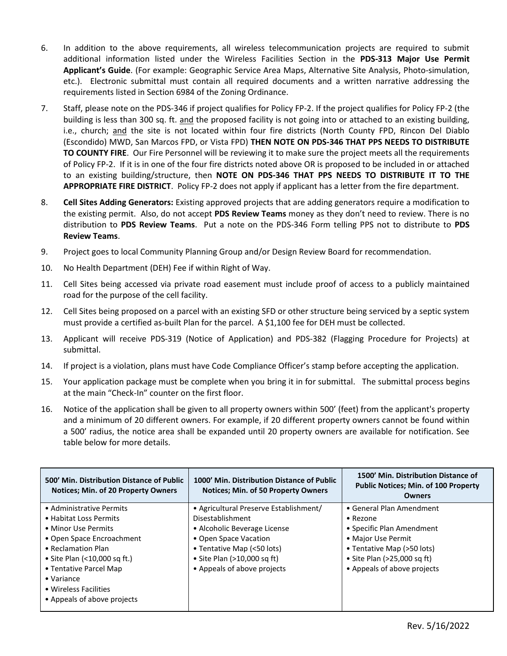- 6. In addition to the above requirements, all wireless telecommunication projects are required to submit additional information listed under the Wireless Facilities Section in the **PDS-313 Major Use Permit Applicant's Guide**. (For example: Geographic Service Area Maps, Alternative Site Analysis, Photo-simulation, etc.). Electronic submittal must contain all required documents and a written narrative addressing the requirements listed in Section 6984 of the Zoning Ordinance.
- 7. Staff, please note on the PDS-346 if project qualifies for Policy FP-2. If the project qualifies for Policy FP-2 (the building is less than 300 sq. ft. and the proposed facility is not going into or attached to an existing building, i.e., church; and the site is not located within four fire districts (North County FPD, Rincon Del Diablo (Escondido) MWD, San Marcos FPD, or Vista FPD) **THEN NOTE ON PDS-346 THAT PPS NEEDS TO DISTRIBUTE TO COUNTY FIRE**. Our Fire Personnel will be reviewing it to make sure the project meets all the requirements of Policy FP-2. If it is in one of the four fire districts noted above OR is proposed to be included in or attached to an existing building/structure, then **NOTE ON PDS-346 THAT PPS NEEDS TO DISTRIBUTE IT TO THE APPROPRIATE FIRE DISTRICT**. Policy FP-2 does not apply if applicant has a letter from the fire department.
- 8. **Cell Sites Adding Generators:** Existing approved projects that are adding generators require a modification to the existing permit. Also, do not accept **PDS Review Teams** money as they don't need to review. There is no distribution to **PDS Review Teams**. Put a note on the PDS-346 Form telling PPS not to distribute to **PDS Review Teams**.
- 9. Project goes to local Community Planning Group and/or Design Review Board for recommendation.
- 10. No Health Department (DEH) Fee if within Right of Way.
- 11. Cell Sites being accessed via private road easement must include proof of access to a publicly maintained road for the purpose of the cell facility.
- 12. Cell Sites being proposed on a parcel with an existing SFD or other structure being serviced by a septic system must provide a certified as-built Plan for the parcel. A \$1,100 fee for DEH must be collected.
- 13. Applicant will receive PDS-319 (Notice of Application) and PDS-382 (Flagging Procedure for Projects) at submittal.
- 14. If project is a violation, plans must have Code Compliance Officer's stamp before accepting the application.
- 15. Your application package must be complete when you bring it in for submittal. The submittal process begins at the main "Check-In" counter on the first floor.
- 16. Notice of the application shall be given to all property owners within 500' (feet) from the applicant's property and a minimum of 20 different owners. For example, if 20 different property owners cannot be found within a 500' radius, the notice area shall be expanded until 20 property owners are available for notification. See table below for more details.

| 500' Min. Distribution Distance of Public<br><b>Notices: Min. of 20 Property Owners</b> | 1000' Min. Distribution Distance of Public<br><b>Notices: Min. of 50 Property Owners</b> | 1500' Min. Distribution Distance of<br><b>Public Notices; Min. of 100 Property</b><br><b>Owners</b> |
|-----------------------------------------------------------------------------------------|------------------------------------------------------------------------------------------|-----------------------------------------------------------------------------------------------------|
| • Administrative Permits                                                                | • Agricultural Preserve Establishment/                                                   | • General Plan Amendment                                                                            |
| • Habitat Loss Permits                                                                  | Disestablishment                                                                         | $\bullet$ Rezone                                                                                    |
| • Minor Use Permits                                                                     | • Alcoholic Beverage License                                                             | • Specific Plan Amendment                                                                           |
| • Open Space Encroachment                                                               | • Open Space Vacation                                                                    | • Major Use Permit                                                                                  |
| • Reclamation Plan                                                                      | • Tentative Map (<50 lots)                                                               | • Tentative Map (>50 lots)                                                                          |
| • Site Plan (<10,000 sq ft.)                                                            | • Site Plan $(>10,000$ sq ft)                                                            | • Site Plan (>25,000 sq ft)                                                                         |
| • Tentative Parcel Map                                                                  | • Appeals of above projects                                                              | • Appeals of above projects                                                                         |
| $\bullet$ Variance                                                                      |                                                                                          |                                                                                                     |
| • Wireless Facilities                                                                   |                                                                                          |                                                                                                     |
| • Appeals of above projects                                                             |                                                                                          |                                                                                                     |